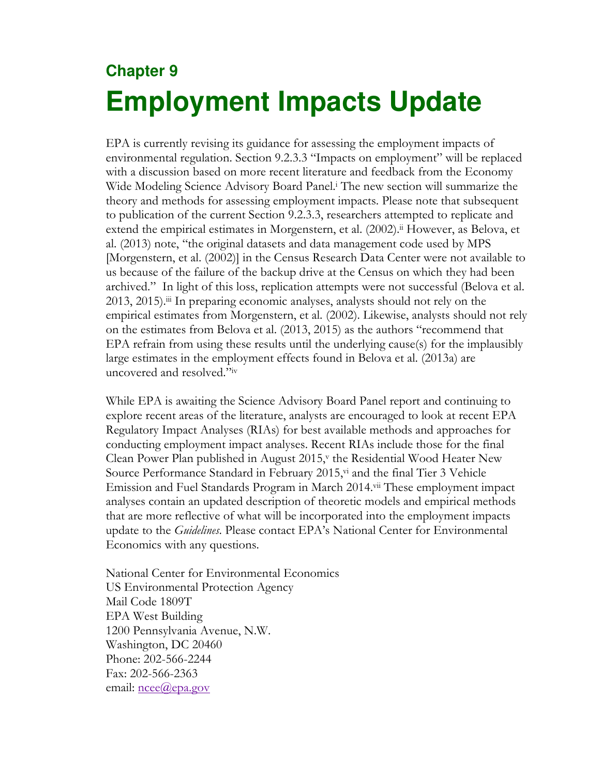# **Chapter 9 Employment Impacts Update**

EPA is currently revising its guidance for assessing the employment impacts of environmental regulation. Section 9.2.3.3 "Impacts on employment" will be replaced with a discussion based on more recent literature and feedback from the Economy Wide Modeling Science Advisory Board Panel.<sup>i</sup> The new section will summarize the theory and methods for assessing employment impacts. Please note that subsequent to publication of the current Section 9.2.3.3, researchers attempted to replicate and extend the empirical estimates in Morgenstern, et al. (2002).<sup>ii</sup> However, as Belova, et al. (2013) note, "the original datasets and data management code used by MPS [Morgenstern, et al. (2002)] in the Census Research Data Center were not available to us because of the failure of the backup drive at the Census on which they had been archived." In light of this loss, replication attempts were not successful (Belova et al. 2013, 2015).iii In preparing economic analyses, analysts should not rely on the empirical estimates from Morgenstern, et al. (2002). Likewise, analysts should not rely on the estimates from Belova et al. (2013, 2015) as the authors "recommend that EPA refrain from using these results until the underlying cause(s) for the implausibly large estimates in the employment effects found in Belova et al. (2013a) are uncovered and resolved."iv

While EPA is awaiting the Science Advisory Board Panel report and continuing to explore recent areas of the literature, analysts are encouraged to look at recent EPA Regulatory Impact Analyses (RIAs) for best available methods and approaches for conducting employment impact analyses. Recent RIAs include those for the final Clean Power Plan published in August 2015,<sup>v</sup> the Residential Wood Heater New Source Performance Standard in February 2015, v<sup>i</sup> and the final Tier 3 Vehicle Emission and Fuel Standards Program in March 2014.vii These employment impact analyses contain an updated description of theoretic models and empirical methods that are more reflective of what will be incorporated into the employment impacts update to the *Guidelines*. Please contact EPA's National Center for Environmental Economics with any questions.

National Center for Environmental Economics US Environmental Protection Agency Mail Code 1809T EPA West Building 1200 Pennsylvania Avenue, N.W. Washington, DC 20460 Phone: 202-566-2244 Fax: 202-566-2363 email: <u>ncee@epa.gov</u>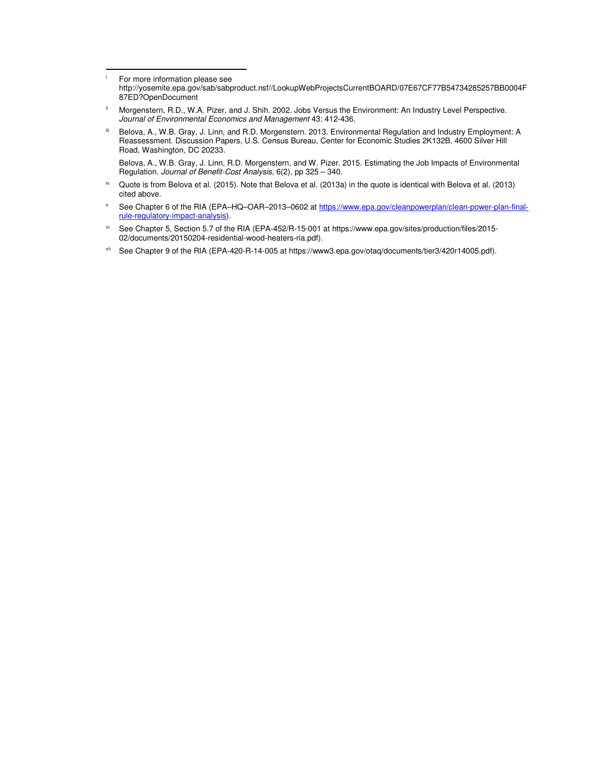i For more information please see

l

- http://yosemite.epa.gov/sab/sabproduct.nsf//LookupWebProjectsCurrentBOARD/07E67CF77B54734285257BB0004F 87ED?OpenDocument
- ii Morgenstern, R.D., W.A. Pizer, and J. Shih. 2002. Jobs Versus the Environment: An Industry Level Perspective. Journal of Environmental Economics and Management 43: 412-436.
- iii Belova, A., W.B. Gray, J. Linn, and R.D. Morgenstern. 2013. Environmental Regulation and Industry Employment: A Reassessment. Discussion Papers, U.S. Census Bureau, Center for Economic Studies 2K132B, 4600 Silver Hill Road, Washington, DC 20233.

Belova, A., W.B. Gray, J. Linn, R.D. Morgenstern, and W. Pizer. 2015. Estimating the Job Impacts of Environmental Regulation. Journal of Benefit-Cost Analysis, 6(2), pp 325 - 340.

- iv Quote is from Belova et al. (2015). Note that Belova et al. (2013a) in the quote is identical with Belova et al. (2013) cited above.
- v See Chapter 6 of the RIA (EPA–HQ–OAR–2013–0602 at https://www.epa.gov/cleanpowerplan/clean-power-plan-finalrule-regulatory-impact-analysis).
- vi See Chapter 5, Section 5.7 of the RIA (EPA-452/R-15-001 at https://www.epa.gov/sites/production/files/2015-02/documents/20150204-residential-wood-heaters-ria.pdf).
- vii See Chapter 9 of the RIA (EPA-420-R-14-005 at https://www3.epa.gov/otaq/documents/tier3/420r14005.pdf).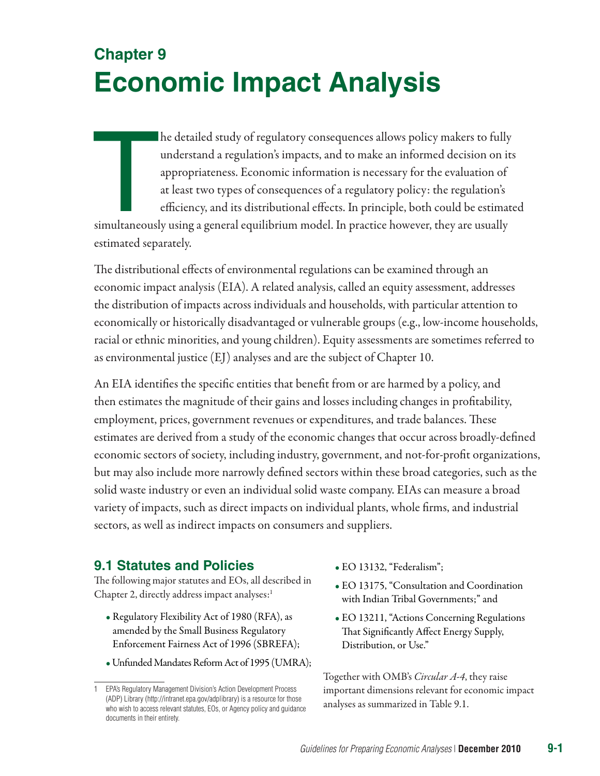# **Chapter 9 Economic Impact Analysis**

he detailed study of regulatory consequences allows policy makers to fully understand a regulation's impacts, and to make an informed decision on it appropriateness. Economic information is necessary for the evaluation of he detailed study of regulatory consequences allows policy makers to fully understand a regulation's impacts, and to make an informed decision on its appropriateness. Economic information is necessary for the evaluation of at least two types of consequences of a regulatory policy: the regulation's efficiency, and its distributional effects. In principle, both could be estimated estimated separately.

The distributional effects of environmental regulations can be examined through an economic impact analysis (EIA). A related analysis, called an equity assessment, addresses the distribution of impacts across individuals and households, with particular attention to economically or historically disadvantaged or vulnerable groups (e.g., low-income households, racial or ethnic minorities, and young children). Equity assessments are sometimes referred to as environmental justice (EJ) analyses and are the subject of Chapter 10.

An EIA identifies the specific entities that benefit from or are harmed by a policy, and then estimates the magnitude of their gains and losses including changes in profitability, employment, prices, government revenues or expenditures, and trade balances. These estimates are derived from a study of the economic changes that occur across broadly-defined economic sectors of society, including industry, government, and not-for-profit organizations, but may also include more narrowly defined sectors within these broad categories, such as the solid waste industry or even an individual solid waste company. EIAs can measure a broad variety of impacts, such as direct impacts on individual plants, whole firms, and industrial sectors, as well as indirect impacts on consumers and suppliers.

## **9.1 Statutes and Policies**

The following major statutes and EOs, all described in Chapter 2, directly address impact analyses: $<sup>1</sup>$ </sup>

- Regulatory Flexibility Act of 1980 (RFA), as amended by the Small Business Regulatory Enforcement Fairness Act of 1996 (SBREFA);
- •Unfunded Mandates Reform Act of 1995 (UMRA);
- EO 13132, "Federalism";
- EO 13175, "Consultation and Coordination with Indian Tribal Governments;" and
- EO 13211, "Actions Concerning Regulations That Significantly Affect Energy Supply, Distribution, or Use."

Together with OMB's *Circular A-4*, they raise important dimensions relevant for economic impact analyses as summarized in Table 9.1.

<sup>1</sup> EPA's Regulatory Management Division's Action Development Process (ADP) Library [\(http://intranet.epa.gov/adplibrary](http://intranet.epa.gov/adplibrary)) is a resource for those who wish to access relevant statutes, EOs, or Agency policy and guidance documents in their entirety.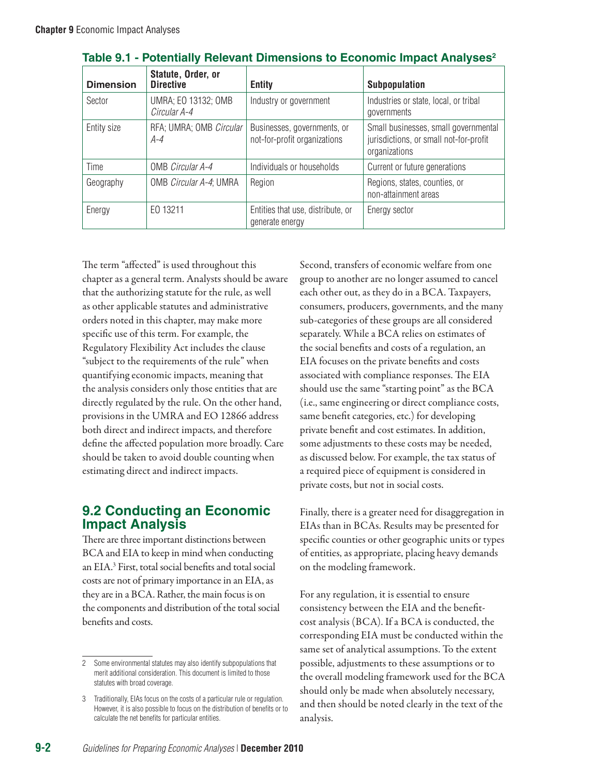| <b>Dimension</b> | Statute, Order, or<br><b>Directive</b> | <b>Entity</b>                                               | <b>Subpopulation</b>                                                                            |
|------------------|----------------------------------------|-------------------------------------------------------------|-------------------------------------------------------------------------------------------------|
| Sector           | UMRA; EO 13132; OMB<br>Circular A-4    | Industry or government                                      | Industries or state, local, or tribal<br>governments                                            |
| Entity size      | RFA; UMRA; OMB Circular<br>A-4         | Businesses, governments, or<br>not-for-profit organizations | Small businesses, small governmental<br>jurisdictions, or small not-for-profit<br>organizations |
| Time             | OMB Circular A-4                       | Individuals or households                                   | Current or future generations                                                                   |
| Geography        | OMB Circular A-4; UMRA                 | Region                                                      | Regions, states, counties, or<br>non-attainment areas                                           |
| Energy           | EO 13211                               | Entities that use, distribute, or<br>generate energy        | Energy sector                                                                                   |

**Table 9.1 - Potentially Relevant Dimensions to Economic Impact Analyses2**

The term "affected" is used throughout this chapter as a general term. Analysts should be aware that the authorizing statute for the rule, as well as other applicable statutes and administrative orders noted in this chapter, may make more specific use of this term. For example, the Regulatory Flexibility Act includes the clause "subject to the requirements of the rule" when quantifying economic impacts, meaning that the analysis considers only those entities that are directly regulated by the rule. On the other hand, provisions in the UMRA and EO 12866 address both direct and indirect impacts, and therefore define the affected population more broadly. Care should be taken to avoid double counting when estimating direct and indirect impacts.

## **9.2 Conducting an Economic Impact Analysis**

There are three important distinctions between BCA and EIA to keep in mind when conducting an EIA. 3 First, total social benefits and total social costs are not of primary importance in an EIA, as they are in a BCA. Rather, the main focus is on the components and distribution of the total social benefits and costs.

Second, transfers of economic welfare from one group to another are no longer assumed to cancel each other out, as they do in a BCA. Taxpayers, consumers, producers, governments, and the many sub-categories of these groups are all considered separately. While a BCA relies on estimates of the social benefits and costs of a regulation, an EIA focuses on the private benefits and costs associated with compliance responses. The EIA should use the same "starting point" as the BCA (i.e., same engineering or direct compliance costs, same benefit categories, etc.) for developing private benefit and cost estimates. In addition, some adjustments to these costs may be needed, as discussed below. For example, the tax status of a required piece of equipment is considered in private costs, but not in social costs.

Finally, there is a greater need for disaggregation in EIAs than in BCAs. Results may be presented for specific counties or other geographic units or types of entities, as appropriate, placing heavy demands on the modeling framework.

For any regulation, it is essential to ensure consistency between the EIA and the benefitcost analysis (BCA). If a BCA is conducted, the corresponding EIA must be conducted within the same set of analytical assumptions. To the extent possible, adjustments to these assumptions or to the overall modeling framework used for the BCA should only be made when absolutely necessary, and then should be noted clearly in the text of the analysis.

<sup>2</sup> Some environmental statutes may also identify subpopulations that merit additional consideration. This document is limited to those statutes with broad coverage.

<sup>3</sup> Traditionally, EIAs focus on the costs of a particular rule or regulation. However, it is also possible to focus on the distribution of benefits or to calculate the net benefits for particular entities.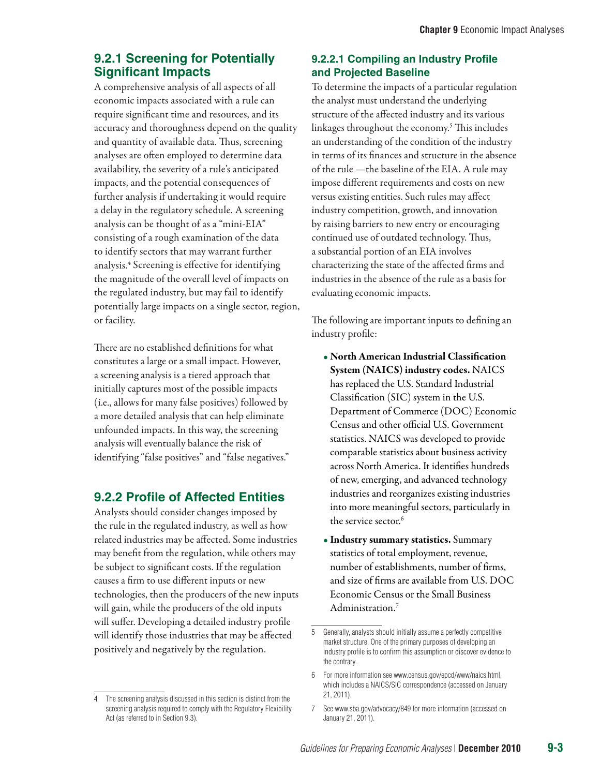## **9.2.1 Screening for Potentially Significant Impacts**

A comprehensive analysis of all aspects of all economic impacts associated with a rule can require significant time and resources, and its accuracy and thoroughness depend on the quality and quantity of available data. Thus, screening analyses are often employed to determine data availability, the severity of a rule's anticipated impacts, and the potential consequences of further analysis if undertaking it would require a delay in the regulatory schedule. A screening analysis can be thought of as a "mini-EIA" consisting of a rough examination of the data to identify sectors that may warrant further analysis.4 Screening is effective for identifying the magnitude of the overall level of impacts on the regulated industry, but may fail to identify potentially large impacts on a single sector, region, or facility.

There are no established definitions for what constitutes a large or a small impact. However, a screening analysis is a tiered approach that initially captures most of the possible impacts (i.e., allows for many false positives) followed by a more detailed analysis that can help eliminate unfounded impacts. In this way, the screening analysis will eventually balance the risk of identifying "false positives" and "false negatives."

## **9.2.2 Profile of Affected Entities**

Analysts should consider changes imposed by the rule in the regulated industry, as well as how related industries may be affected. Some industries may benefit from the regulation, while others may be subject to significant costs. If the regulation causes a firm to use different inputs or new technologies, then the producers of the new inputs will gain, while the producers of the old inputs will suffer. Developing a detailed industry profile will identify those industries that may be affected positively and negatively by the regulation.

### **9.2.2.1 Compiling an Industry Profile and Projected Baseline**

To determine the impacts of a particular regulation the analyst must understand the underlying structure of the affected industry and its various linkages throughout the economy.5 This includes an understanding of the condition of the industry in terms of its finances and structure in the absence of the rule —the baseline of the EIA. A rule may impose different requirements and costs on new versus existing entities. Such rules may affect industry competition, growth, and innovation by raising barriers to new entry or encouraging continued use of outdated technology. Thus, a substantial portion of an EIA involves characterizing the state of the affected firms and industries in the absence of the rule as a basis for evaluating economic impacts.

The following are important inputs to defining an industry profile:

- North American Industrial Classification System (NAICS) industry codes. NAICS has replaced the U.S. Standard Industrial Classification (SIC) system in the U.S. Department of Commerce (DOC) Economic Census and other official U.S. Government statistics. NAICS was developed to provide comparable statistics about business activity across North America. It identifies hundreds of new, emerging, and advanced technology industries and reorganizes existing industries into more meaningful sectors, particularly in the service sector.<sup>6</sup>
- Industry summary statistics. Summary statistics of total employment, revenue, number of establishments, number of firms, and size of firms are available from U.S. DOC Economic Census or the Small Business Administration.7

<sup>4</sup> The screening analysis discussed in this section is distinct from the screening analysis required to comply with the Regulatory Flexibility Act (as referred to in Section 9.3).

<sup>5</sup> Generally, analysts should initially assume a perfectly competitive market structure. One of the primary purposes of developing an industry profile is to confirm this assumption or discover evidence to the contrary.

<sup>6</sup> For more information see www.census.gov/epcd/www/naics.html, which includes a NAICS/SIC correspondence (accessed on January 21, 2011).

<sup>7</sup> See www.sba.gov/advocacy/849 for more information (accessed on January 21, 2011).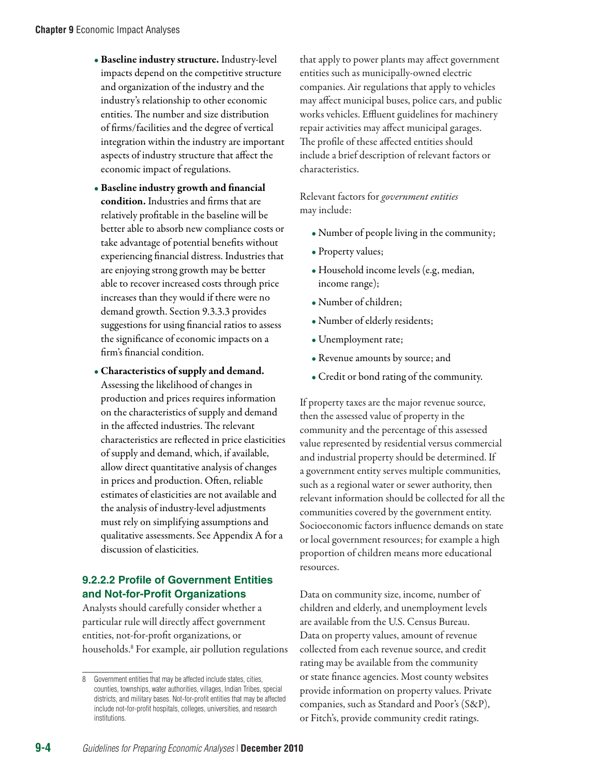- Baseline industry structure. Industry-level impacts depend on the competitive structure and organization of the industry and the industry's relationship to other economic entities. The number and size distribution of firms/facilities and the degree of vertical integration within the industry are important aspects of industry structure that affect the economic impact of regulations.
- Baseline industry growth and financial condition. Industries and firms that are relatively profitable in the baseline will be better able to absorb new compliance costs or take advantage of potential benefits without experiencing financial distress. Industries that are enjoying strong growth may be better able to recover increased costs through price increases than they would if there were no demand growth. Section 9.3.3.3 provides suggestions for using financial ratios to assess the significance of economic impacts on a firm's financial condition.
- Characteristics of supply and demand. Assessing the likelihood of changes in production and prices requires information on the characteristics of supply and demand in the affected industries. The relevant characteristics are reflected in price elasticities of supply and demand, which, if available, allow direct quantitative analysis of changes in prices and production. Often, reliable estimates of elasticities are not available and the analysis of industry-level adjustments must rely on simplifying assumptions and qualitative assessments. See Appendix A for a discussion of elasticities.

#### **9.2.2.2 Profile of Government Entities and Not-for-Profit Organizations**

Analysts should carefully consider whether a particular rule will directly affect government entities, not-for-profit organizations, or households. 8 For example, air pollution regulations that apply to power plants may affect government entities such as municipally-owned electric companies. Air regulations that apply to vehicles may affect municipal buses, police cars, and public works vehicles. Effluent guidelines for machinery repair activities may affect municipal garages. The profile of these affected entities should include a brief description of relevant factors or characteristics.

Relevant factors for *government entities* may include:

- Number of people living in the community;
- Property values;
- Household income levels (e.g, median, income range);
- Number of children;
- Number of elderly residents;
- Unemployment rate;
- Revenue amounts by source; and
- Credit or bond rating of the community.

If property taxes are the major revenue source, then the assessed value of property in the community and the percentage of this assessed value represented by residential versus commercial and industrial property should be determined. If a government entity serves multiple communities, such as a regional water or sewer authority, then relevant information should be collected for all the communities covered by the government entity. Socioeconomic factors influence demands on state or local government resources; for example a high proportion of children means more educational resources.

Data on community size, income, number of children and elderly, and unemployment levels are available from the U.S. Census Bureau. Data on property values, amount of revenue collected from each revenue source, and credit rating may be available from the community or state finance agencies. Most county websites provide information on property values. Private companies, such as Standard and Poor's (S&P), or Fitch's, provide community credit ratings.

<sup>8</sup> Government entities that may be affected include states, cities, counties, townships, water authorities, villages, Indian Tribes, special districts, and military bases. Not-for-profit entities that may be affected include not-for-profit hospitals, colleges, universities, and research institutions.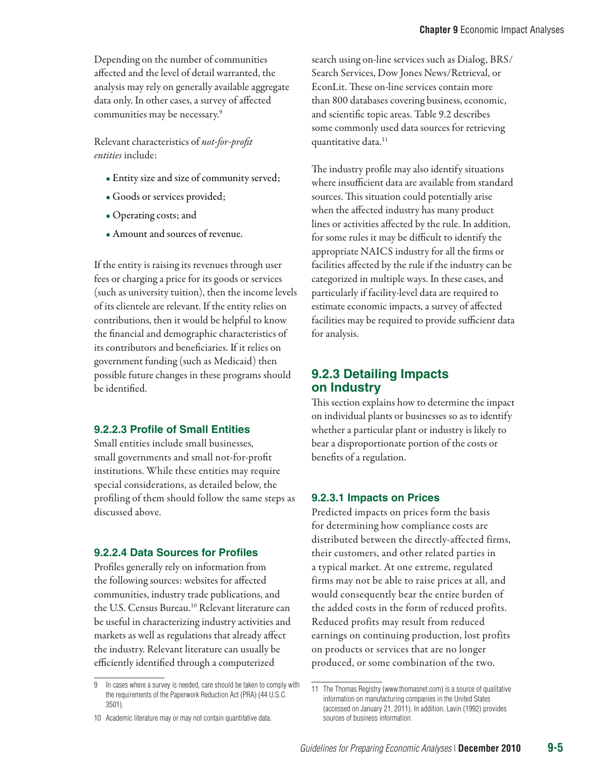Depending on the number of communities affected and the level of detail warranted, the analysis may rely on generally available aggregate data only. In other cases, a survey of affected communities may be necessary.9

Relevant characteristics of *not-for-profit entities* include:

- Entity size and size of community served;
- Goods or services provided;
- Operating costs; and
- Amount and sources of revenue.

If the entity is raising its revenues through user fees or charging a price for its goods or services (such as university tuition), then the income levels of its clientele are relevant. If the entity relies on contributions, then it would be helpful to know the financial and demographic characteristics of its contributors and beneficiaries. If it relies on government funding (such as Medicaid) then possible future changes in these programs should be identified.

#### **9.2.2.3 Profile of Small Entities**

Small entities include small businesses, small governments and small not-for-profit institutions. While these entities may require special considerations, as detailed below, the profiling of them should follow the same steps as discussed above.

#### **9.2.2.4 Data Sources for Profiles**

Profiles generally rely on information from the following sources: websites for affected communities, industry trade publications, and the U.S. Census Bureau.<sup>10</sup> Relevant literature can be useful in characterizing industry activities and markets as well as regulations that already affect the industry. Relevant literature can usually be efficiently identified through a computerized

search using on-line services such as Dialog, BRS/ Search Services, Dow Jones News/Retrieval, or EconLit. These on-line services contain more than 800 databases covering business, economic, and scientific topic areas. Table 9.2 describes some commonly used data sources for retrieving quantitative data.<sup>11</sup>

The industry profile may also identify situations where insufficient data are available from standard sources. This situation could potentially arise when the affected industry has many product lines or activities affected by the rule. In addition, for some rules it may be difficult to identify the appropriate NAICS industry for all the firms or facilities affected by the rule if the industry can be categorized in multiple ways. In these cases, and particularly if facility-level data are required to estimate economic impacts, a survey of affected facilities may be required to provide sufficient data for analysis.

#### **9.2.3 Detailing Impacts on Industry**

This section explains how to determine the impact on individual plants or businesses so as to identify whether a particular plant or industry is likely to bear a disproportionate portion of the costs or benefits of a regulation.

#### **9.2.3.1 Impacts on Prices**

Predicted impacts on prices form the basis for determining how compliance costs are distributed between the directly-affected firms, their customers, and other related parties in a typical market. At one extreme, regulated firms may not be able to raise prices at all, and would consequently bear the entire burden of the added costs in the form of reduced profits. Reduced profits may result from reduced earnings on continuing production, lost profits on products or services that are no longer produced, or some combination of the two.

<sup>9</sup> In cases where a survey is needed, care should be taken to comply with the requirements of the Paperwork Reduction Act (PRA) (44 U.S.C. 3501).

<sup>10</sup> Academic literature may or may not contain quantitative data.

<sup>11</sup> The Thomas Registry ([www.thomasnet.com](http://www.thomasnet.com)) is a source of qualitative information on manufacturing companies in the United States (accessed on January 21, 2011). In addition, Lavin (1992) provides sources of business information.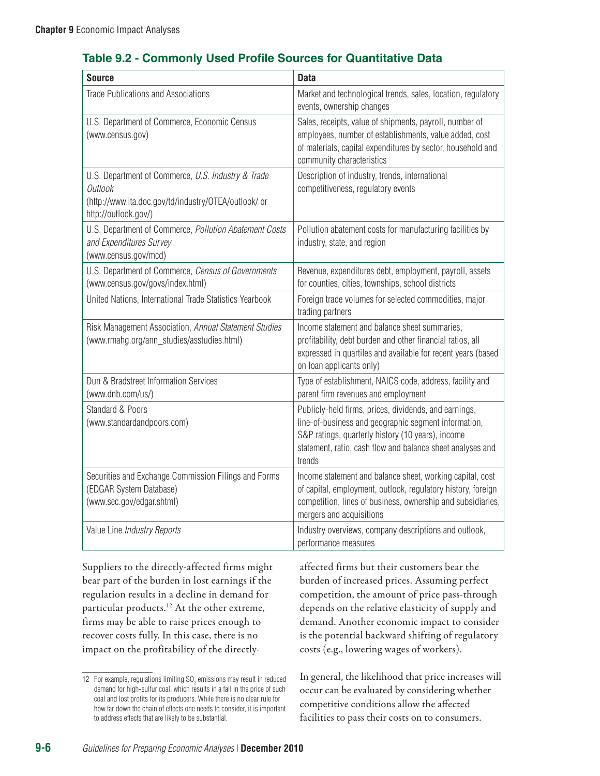## **Table 9.2 - Commonly Used Profile Sources for Quantitative Data**

| <b>Source</b>                                                                                                                                 | <b>Data</b>                                                                                                                                                                                                                                |  |
|-----------------------------------------------------------------------------------------------------------------------------------------------|--------------------------------------------------------------------------------------------------------------------------------------------------------------------------------------------------------------------------------------------|--|
| <b>Trade Publications and Associations</b>                                                                                                    | Market and technological trends, sales, location, regulatory<br>events, ownership changes                                                                                                                                                  |  |
| U.S. Department of Commerce, Economic Census<br>(www.census.gov)                                                                              | Sales, receipts, value of shipments, payroll, number of<br>employees, number of establishments, value added, cost<br>of materials, capital expenditures by sector, household and<br>community characteristics                              |  |
| U.S. Department of Commerce, U.S. Industry & Trade<br>Outlook<br>(http://www.ita.doc.gov/td/industry/OTEA/outlook/ or<br>http://outlook.gov/) | Description of industry, trends, international<br>competitiveness, regulatory events                                                                                                                                                       |  |
| U.S. Department of Commerce, Pollution Abatement Costs<br>and Expenditures Survey<br>(www.census.gov/mcd)                                     | Pollution abatement costs for manufacturing facilities by<br>industry, state, and region                                                                                                                                                   |  |
| U.S. Department of Commerce, Census of Governments<br>(www.census.gov/govs/index.html)                                                        | Revenue, expenditures debt, employment, payroll, assets<br>for counties, cities, townships, school districts                                                                                                                               |  |
| United Nations, International Trade Statistics Yearbook                                                                                       | Foreign trade volumes for selected commodities, major<br>trading partners                                                                                                                                                                  |  |
| Risk Management Association, Annual Statement Studies<br>(www.rmahg.org/ann_studies/asstudies.html)                                           | Income statement and balance sheet summaries,<br>profitability, debt burden and other financial ratios, all<br>expressed in quartiles and available for recent years (based<br>on loan applicants only)                                    |  |
| Dun & Bradstreet Information Services<br>(www.dnb.com/us/)                                                                                    | Type of establishment, NAICS code, address, facility and<br>parent firm revenues and employment                                                                                                                                            |  |
| Standard & Poors<br>(www.standardandpoors.com)                                                                                                | Publicly-held firms, prices, dividends, and earnings,<br>line-of-business and geographic segment information,<br>S&P ratings, quarterly history (10 years), income<br>statement, ratio, cash flow and balance sheet analyses and<br>trends |  |
| Securities and Exchange Commission Filings and Forms<br>(EDGAR System Database)<br>(www.sec.gov/edgar.shtml)                                  | Income statement and balance sheet, working capital, cost<br>of capital, employment, outlook, regulatory history, foreign<br>competition, lines of business, ownership and subsidiaries,<br>mergers and acquisitions                       |  |
| Value Line Industry Reports                                                                                                                   | Industry overviews, company descriptions and outlook,<br>performance measures                                                                                                                                                              |  |

Suppliers to the directly-affected firms might bear part of the burden in lost earnings if the regulation results in a decline in demand for particular products.12 At the other extreme, firms may be able to raise prices enough to recover costs fully. In this case, there is no impact on the profitability of the directlyaffected firms but their customers bear the burden of increased prices. Assuming perfect competition, the amount of price pass-through depends on the relative elasticity of supply and demand. Another economic impact to consider is the potential backward shifting of regulatory costs (e.g., lowering wages of workers).

In general, the likelihood that price increases will occur can be evaluated by considering whether competitive conditions allow the affected facilities to pass their costs on to consumers.

<sup>12</sup> For example, regulations limiting  $\text{SO}_2$  emissions may result in reduced demand for high-sulfur coal, which results in a fall in the price of such coal and lost profits for its producers. While there is no clear rule for how far down the chain of effects one needs to consider, it is important to address effects that are likely to be substantial.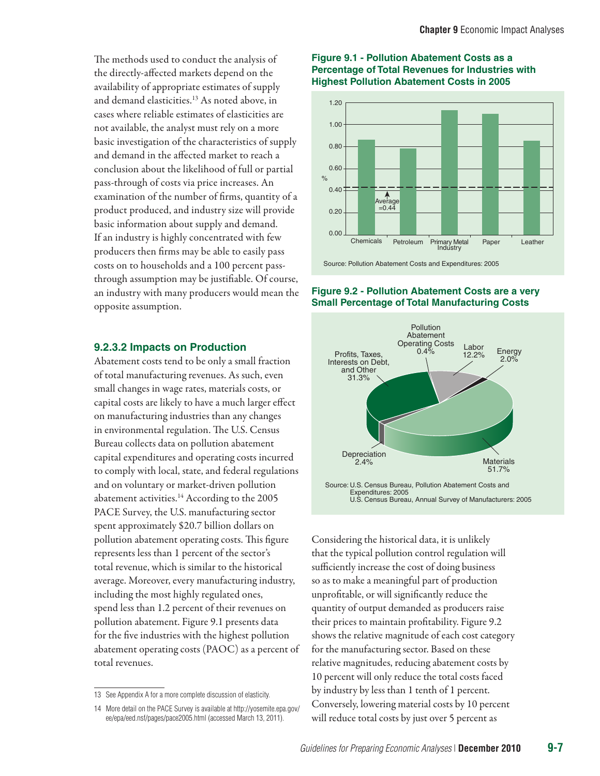The methods used to conduct the analysis of the directly-affected markets depend on the availability of appropriate estimates of supply and demand elasticities.13 As noted above, in cases where reliable estimates of elasticities are not available, the analyst must rely on a more basic investigation of the characteristics of supply and demand in the affected market to reach a conclusion about the likelihood of full or partial pass-through of costs via price increases. An examination of the number of firms, quantity of a product produced, and industry size will provide basic information about supply and demand. If an industry is highly concentrated with few producers then firms may be able to easily pass costs on to households and a 100 percent passthrough assumption may be justifiable. Of course, an industry with many producers would mean the opposite assumption.

#### **9.2.3.2 Impacts on Production**

Abatement costs tend to be only a small fraction of total manufacturing revenues. As such, even small changes in wage rates, materials costs, or capital costs are likely to have a much larger effect on manufacturing industries than any changes in environmental regulation. The U.S. Census Bureau collects data on pollution abatement capital expenditures and operating costs incurred to comply with local, state, and federal regulations and on voluntary or market-driven pollution abatement activities.<sup>14</sup> According to the 2005 PACE Survey, the U.S. manufacturing sector spent approximately \$20.7 billion dollars on pollution abatement operating costs. This figure represents less than 1 percent of the sector's total revenue, which is similar to the historical average. Moreover, every manufacturing industry, including the most highly regulated ones, spend less than 1.2 percent of their revenues on pollution abatement. Figure 9.1 presents data for the five industries with the highest pollution abatement operating costs (PAOC) as a percent of total revenues.

#### **Figure 9.1 - Pollution Abatement Costs as a Percentage of Total Revenues for Industries with Highest Pollution Abatement Costs in 2005**



#### **Figure 9.2 - Pollution Abatement Costs are a very Small Percentage of Total Manufacturing Costs**



Considering the historical data, it is unlikely that the typical pollution control regulation will sufficiently increase the cost of doing business so as to make a meaningful part of production unprofitable, or will significantly reduce the quantity of output demanded as producers raise their prices to maintain profitability. Figure 9.2 shows the relative magnitude of each cost category for the manufacturing sector. Based on these relative magnitudes, reducing abatement costs by 10 percent will only reduce the total costs faced by industry by less than 1 tenth of 1 percent. Conversely, lowering material costs by 10 percent will reduce total costs by just over 5 percent as

<sup>13</sup> See Appendix A for a more complete discussion of elasticity.

<sup>14</sup> More detail on the PACE Survey is available at [http://yosemite.epa.gov/](http://yosemite.epa.gov/ee/epa/eed.nsf/pages/pace2005.html) [ee/epa/eed.nsf/pages/pace2005.html](http://yosemite.epa.gov/ee/epa/eed.nsf/pages/pace2005.html) (accessed March 13, 2011).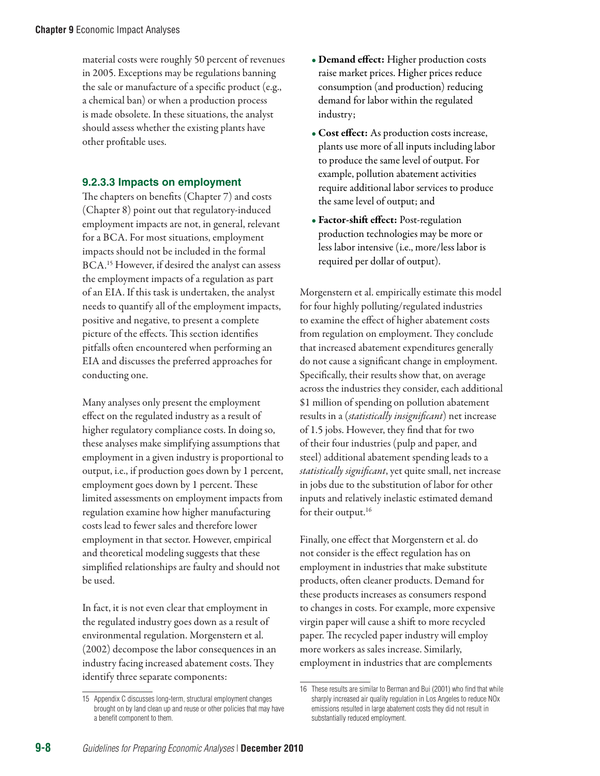material costs were roughly 50 percent of revenues in 2005. Exceptions may be regulations banning the sale or manufacture of a specific product (e.g., a chemical ban) or when a production process is made obsolete. In these situations, the analyst should assess whether the existing plants have other profitable uses.

#### **9.2.3.3 Impacts on employment**

The chapters on benefits (Chapter 7) and costs (Chapter 8) point out that regulatory-induced employment impacts are not, in general, relevant for a BCA. For most situations, employment impacts should not be included in the formal BCA.15 However, if desired the analyst can assess the employment impacts of a regulation as part of an EIA. If this task is undertaken, the analyst needs to quantify all of the employment impacts, positive and negative, to present a complete picture of the effects. This section identifies pitfalls often encountered when performing an EIA and discusses the preferred approaches for conducting one.

Many analyses only present the employment effect on the regulated industry as a result of higher regulatory compliance costs. In doing so, these analyses make simplifying assumptions that employment in a given industry is proportional to output, i.e., if production goes down by 1 percent, employment goes down by 1 percent. These limited assessments on employment impacts from regulation examine how higher manufacturing costs lead to fewer sales and therefore lower employment in that sector. However, empirical and theoretical modeling suggests that these simplified relationships are faulty and should not be used.

In fact, it is not even clear that employment in the regulated industry goes down as a result of environmental regulation. Morgenstern et al. (2002) decompose the labor consequences in an industry facing increased abatement costs. They identify three separate components:

- Demand effect: Higher production costs raise market prices. Higher prices reduce consumption (and production) reducing demand for labor within the regulated industry;
- Cost effect: As production costs increase, plants use more of all inputs including labor to produce the same level of output. For example, pollution abatement activities require additional labor services to produce the same level of output; and
- Factor-shift effect: Post-regulation production technologies may be more or less labor intensive (i.e., more/less labor is required per dollar of output).

Morgenstern et al. empirically estimate this model for four highly polluting/regulated industries to examine the effect of higher abatement costs from regulation on employment. They conclude that increased abatement expenditures generally do not cause a significant change in employment. Specifically, their results show that, on average across the industries they consider, each additional \$1 million of spending on pollution abatement results in a (*statistically insignificant*) net increase of 1.5 jobs. However, they find that for two of their four industries (pulp and paper, and steel) additional abatement spending leads to a *statistically significant*, yet quite small, net increase in jobs due to the substitution of labor for other inputs and relatively inelastic estimated demand for their output.<sup>16</sup>

Finally, one effect that Morgenstern et al. do not consider is the effect regulation has on employment in industries that make substitute products, often cleaner products. Demand for these products increases as consumers respond to changes in costs. For example, more expensive virgin paper will cause a shift to more recycled paper. The recycled paper industry will employ more workers as sales increase. Similarly, employment in industries that are complements

<sup>15</sup> Appendix C discusses long-term, structural employment changes brought on by land clean up and reuse or other policies that may have a benefit component to them.

<sup>16</sup> These results are similar to Berman and Bui (2001) who find that while sharply increased air quality regulation in Los Angeles to reduce NOx emissions resulted in large abatement costs they did not result in substantially reduced employment.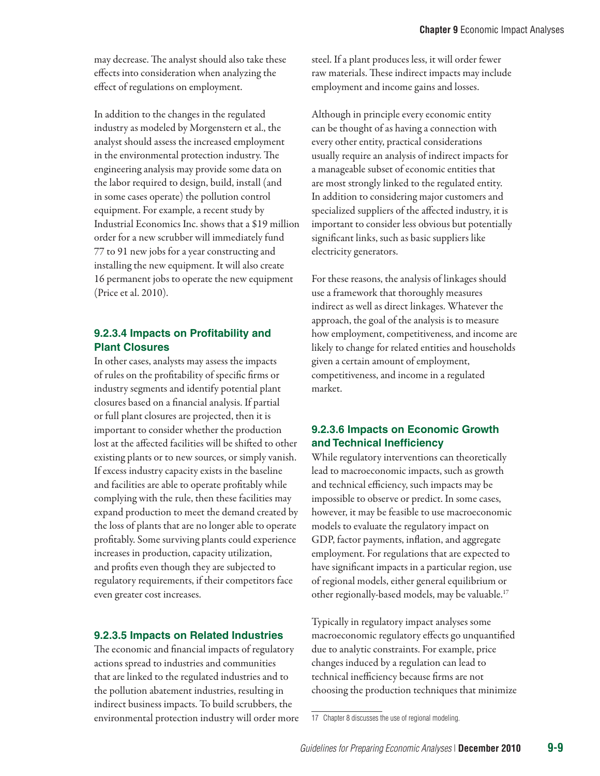may decrease. The analyst should also take these effects into consideration when analyzing the effect of regulations on employment.

In addition to the changes in the regulated industry as modeled by Morgenstern et al., the analyst should assess the increased employment in the environmental protection industry. The engineering analysis may provide some data on the labor required to design, build, install (and in some cases operate) the pollution control equipment. For example, a recent study by Industrial Economics Inc. shows that a \$19 million order for a new scrubber will immediately fund 77 to 91 new jobs for a year constructing and installing the new equipment. It will also create 16 permanent jobs to operate the new equipment (Price et al. 2010).

#### **9.2.3.4 Impacts on Profitability and Plant Closures**

In other cases, analysts may assess the impacts of rules on the profitability of specific firms or industry segments and identify potential plant closures based on a financial analysis. If partial or full plant closures are projected, then it is important to consider whether the production lost at the affected facilities will be shifted to other existing plants or to new sources, or simply vanish. If excess industry capacity exists in the baseline and facilities are able to operate profitably while complying with the rule, then these facilities may expand production to meet the demand created by the loss of plants that are no longer able to operate profitably. Some surviving plants could experience increases in production, capacity utilization, and profits even though they are subjected to regulatory requirements, if their competitors face even greater cost increases.

#### **9.2.3.5 Impacts on Related Industries**

The economic and financial impacts of regulatory actions spread to industries and communities that are linked to the regulated industries and to the pollution abatement industries, resulting in indirect business impacts. To build scrubbers, the environmental protection industry will order more steel. If a plant produces less, it will order fewer raw materials. These indirect impacts may include employment and income gains and losses.

Although in principle every economic entity can be thought of as having a connection with every other entity, practical considerations usually require an analysis of indirect impacts for a manageable subset of economic entities that are most strongly linked to the regulated entity. In addition to considering major customers and specialized suppliers of the affected industry, it is important to consider less obvious but potentially significant links, such as basic suppliers like electricity generators.

For these reasons, the analysis of linkages should use a framework that thoroughly measures indirect as well as direct linkages. Whatever the approach, the goal of the analysis is to measure how employment, competitiveness, and income are likely to change for related entities and households given a certain amount of employment, competitiveness, and income in a regulated market.

#### **9.2.3.6 Impacts on Economic Growth and Technical Inefficiency**

While regulatory interventions can theoretically lead to macroeconomic impacts, such as growth and technical efficiency, such impacts may be impossible to observe or predict. In some cases, however, it may be feasible to use macroeconomic models to evaluate the regulatory impact on GDP, factor payments, inflation, and aggregate employment. For regulations that are expected to have significant impacts in a particular region, use of regional models, either general equilibrium or other regionally-based models, may be valuable.17

Typically in regulatory impact analyses some macroeconomic regulatory effects go unquantified due to analytic constraints. For example, price changes induced by a regulation can lead to technical inefficiency because firms are not choosing the production techniques that minimize

<sup>17</sup> Chapter 8 discusses the use of regional modeling.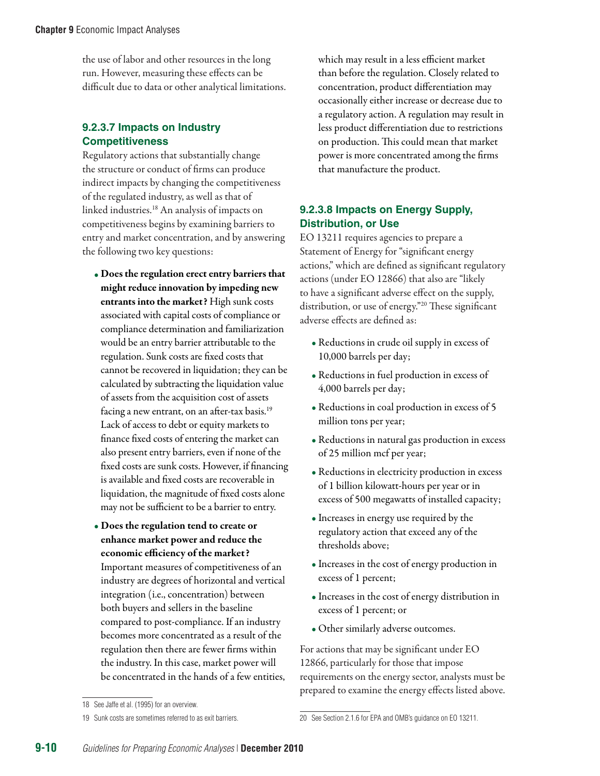the use of labor and other resources in the long run. However, measuring these effects can be difficult due to data or other analytical limitations.

#### **9.2.3.7 Impacts on Industry Competitiveness**

Regulatory actions that substantially change the structure or conduct of firms can produce indirect impacts by changing the competitiveness of the regulated industry, as well as that of linked industries.18 An analysis of impacts on competitiveness begins by examining barriers to entry and market concentration, and by answering the following two key questions:

- Does the regulation erect entry barriers that might reduce innovation by impeding new entrants into the market? High sunk costs associated with capital costs of compliance or compliance determination and familiarization would be an entry barrier attributable to the regulation. Sunk costs are fixed costs that cannot be recovered in liquidation; they can be calculated by subtracting the liquidation value of assets from the acquisition cost of assets facing a new entrant, on an after-tax basis.19 Lack of access to debt or equity markets to finance fixed costs of entering the market can also present entry barriers, even if none of the fixed costs are sunk costs. However, if financing is available and fixed costs are recoverable in liquidation, the magnitude of fixed costs alone may not be sufficient to be a barrier to entry.
- Does the regulation tend to create or enhance market power and reduce the economic efficiency of the market? Important measures of competitiveness of an industry are degrees of horizontal and vertical integration (i.e., concentration) between both buyers and sellers in the baseline compared to post-compliance. If an industry becomes more concentrated as a result of the regulation then there are fewer firms within the industry. In this case, market power will be concentrated in the hands of a few entities,

which may result in a less efficient market than before the regulation. Closely related to concentration, product differentiation may occasionally either increase or decrease due to a regulatory action. A regulation may result in less product differentiation due to restrictions on production. This could mean that market power is more concentrated among the firms that manufacture the product.

#### **9.2.3.8 Impacts on Energy Supply, Distribution, or Use**

EO 13211 requires agencies to prepare a Statement of Energy for "significant energy actions," which are defined as significant regulatory actions (under EO 12866) that also are "likely to have a significant adverse effect on the supply, distribution, or use of energy."<sup>20</sup> These significant adverse effects are defined as:

- Reductions in crude oil supply in excess of 10,000 barrels per day;
- Reductions in fuel production in excess of 4,000 barrels per day;
- Reductions in coal production in excess of 5 million tons per year;
- Reductions in natural gas production in excess of 25 million mcf per year;
- Reductions in electricity production in excess of 1 billion kilowatt-hours per year or in excess of 500 megawatts of installed capacity;
- Increases in energy use required by the regulatory action that exceed any of the thresholds above;
- Increases in the cost of energy production in excess of 1 percent;
- Increases in the cost of energy distribution in excess of 1 percent; or
- Other similarly adverse outcomes.

For actions that may be significant under EO 12866, particularly for those that impose requirements on the energy sector, analysts must be prepared to examine the energy effects listed above.

<sup>18</sup> See Jaffe et al. (1995) for an overview.

<sup>19</sup> Sunk costs are sometimes referred to as exit barriers.

<sup>20</sup> See Section 2.1.6 for EPA and OMB's guidance on EO 13211.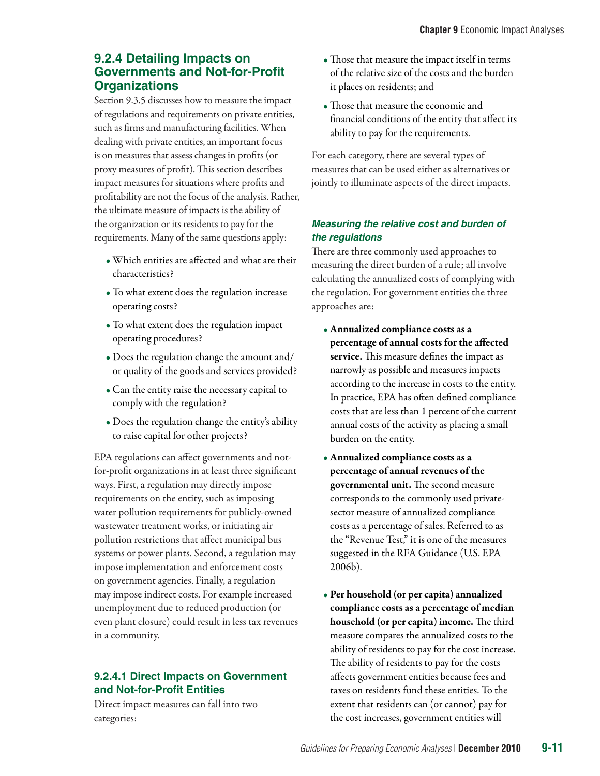## **9.2.4 Detailing Impacts on Governments and Not-for-Profit Organizations**

Section 9.3.5 discusses how to measure the impact of regulations and requirements on private entities, such as firms and manufacturing facilities. When dealing with private entities, an important focus is on measures that assess changes in profits (or proxy measures of profit). This section describes impact measures for situations where profits and profitability are not the focus of the analysis. Rather, the ultimate measure of impacts is the ability of the organization or its residents to pay for the requirements. Many of the same questions apply:

- Which entities are affected and what are their characteristics?
- To what extent does the regulation increase operating costs?
- To what extent does the regulation impact operating procedures?
- Does the regulation change the amount and/ or quality of the goods and services provided?
- Can the entity raise the necessary capital to comply with the regulation?
- Does the regulation change the entity's ability to raise capital for other projects?

EPA regulations can affect governments and notfor-profit organizations in at least three significant ways. First, a regulation may directly impose requirements on the entity, such as imposing water pollution requirements for publicly-owned wastewater treatment works, or initiating air pollution restrictions that affect municipal bus systems or power plants. Second, a regulation may impose implementation and enforcement costs on government agencies. Finally, a regulation may impose indirect costs. For example increased unemployment due to reduced production (or even plant closure) could result in less tax revenues in a community.

### **9.2.4.1 Direct Impacts on Government and Not-for-Profit Entities**

Direct impact measures can fall into two categories:

- Those that measure the impact itself in terms of the relative size of the costs and the burden it places on residents; and
- Those that measure the economic and financial conditions of the entity that affect its ability to pay for the requirements.

For each category, there are several types of measures that can be used either as alternatives or jointly to illuminate aspects of the direct impacts.

#### *Measuring the relative cost and burden of the regulations*

There are three commonly used approaches to measuring the direct burden of a rule; all involve calculating the annualized costs of complying with the regulation. For government entities the three approaches are:

- Annualized compliance costs as a percentage of annual costs for the affected service. This measure defines the impact as narrowly as possible and measures impacts according to the increase in costs to the entity. In practice, EPA has often defined compliance costs that are less than 1 percent of the current annual costs of the activity as placing a small burden on the entity.
- Annualized compliance costs as a percentage of annual revenues of the governmental unit. The second measure corresponds to the commonly used privatesector measure of annualized compliance costs as a percentage of sales. Referred to as the "Revenue Test," it is one of the measures suggested in the RFA Guidance (U.S. EPA 2006b).
- Per household (or per capita) annualized compliance costs as a percentage of median household (or per capita) income. The third measure compares the annualized costs to the ability of residents to pay for the cost increase. The ability of residents to pay for the costs affects government entities because fees and taxes on residents fund these entities. To the extent that residents can (or cannot) pay for the cost increases, government entities will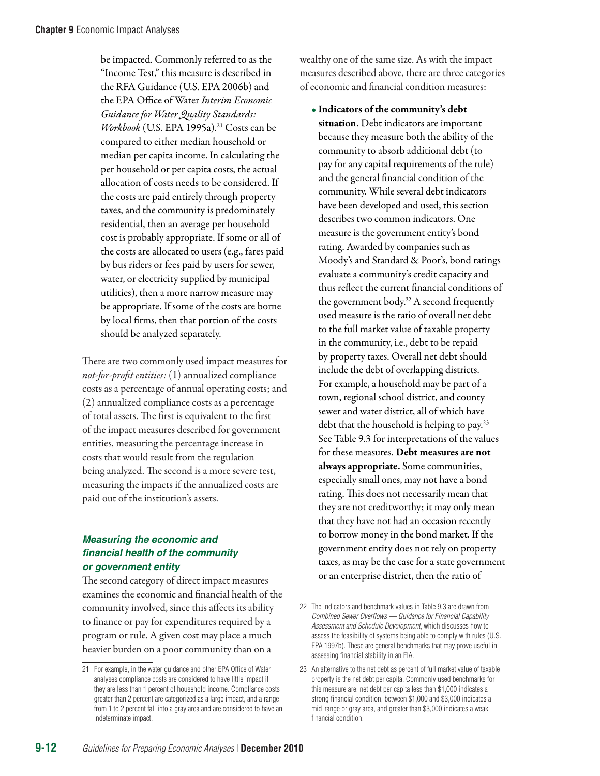be impacted. Commonly referred to as the "Income Test," this measure is described in the RFA Guidance (U.S. EPA 2006b) and the EPA Office of Water *Interim Economic Guidance for Water Quality Standards: Workbook* (U.S. EPA 1995a).<sup>21</sup> Costs can be compared to either median household or median per capita income. In calculating the per household or per capita costs, the actual allocation of costs needs to be considered. If the costs are paid entirely through property taxes, and the community is predominately residential, then an average per household cost is probably appropriate. If some or all of the costs are allocated to users (e.g., fares paid by bus riders or fees paid by users for sewer, water, or electricity supplied by municipal utilities), then a more narrow measure may be appropriate. If some of the costs are borne by local firms, then that portion of the costs should be analyzed separately.

There are two commonly used impact measures for *not-for-profit entities:* (1) annualized compliance costs as a percentage of annual operating costs; and (2) annualized compliance costs as a percentage of total assets. The first is equivalent to the first of the impact measures described for government entities, measuring the percentage increase in costs that would result from the regulation being analyzed. The second is a more severe test, measuring the impacts if the annualized costs are paid out of the institution's assets.

#### *Measuring the economic and financial health of the community or government entity*

The second category of direct impact measures examines the economic and financial health of the community involved, since this affects its ability to finance or pay for expenditures required by a program or rule. A given cost may place a much heavier burden on a poor community than on a

wealthy one of the same size. As with the impact measures described above, there are three categories of economic and financial condition measures:

• Indicators of the community's debt situation. Debt indicators are important because they measure both the ability of the community to absorb additional debt (to pay for any capital requirements of the rule) and the general financial condition of the community. While several debt indicators have been developed and used, this section describes two common indicators. One measure is the government entity's bond rating. Awarded by companies such as Moody's and Standard & Poor's, bond ratings evaluate a community's credit capacity and thus reflect the current financial conditions of the government body.<sup>22</sup> A second frequently used measure is the ratio of overall net debt to the full market value of taxable property in the community, i.e., debt to be repaid by property taxes. Overall net debt should include the debt of overlapping districts. For example, a household may be part of a town, regional school district, and county sewer and water district, all of which have debt that the household is helping to pay.23 See Table 9.3 for interpretations of the values for these measures. Debt measures are not always appropriate. Some communities, especially small ones, may not have a bond rating. This does not necessarily mean that they are not creditworthy; it may only mean that they have not had an occasion recently to borrow money in the bond market. If the government entity does not rely on property taxes, as may be the case for a state government or an enterprise district, then the ratio of

<sup>21</sup> For example, in the water guidance and other EPA Office of Water analyses compliance costs are considered to have little impact if they are less than 1 percent of household income. Compliance costs greater than 2 percent are categorized as a large impact, and a range from 1 to 2 percent fall into a gray area and are considered to have an indeterminate impact.

<sup>22</sup> The indicators and benchmark values in Table 9.3 are drawn from *Combined Sewer Overflows — Guidance for Financial Capability Assessment and Schedule Development*, which discusses how to assess the feasibility of systems being able to comply with rules (U.S. EPA 1997b). These are general benchmarks that may prove useful in assessing financial stability in an EIA.

<sup>23</sup> An alternative to the net debt as percent of full market value of taxable property is the net debt per capita. Commonly used benchmarks for this measure are: net debt per capita less than \$1,000 indicates a strong financial condition, between \$1,000 and \$3,000 indicates a mid-range or gray area, and greater than \$3,000 indicates a weak financial condition.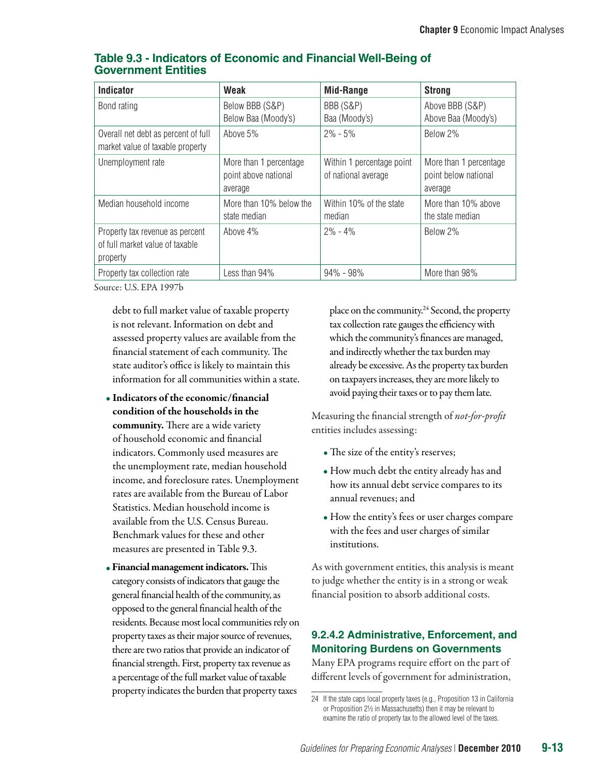| <b>Indicator</b>                                                               | Weak                                                      | <b>Mid-Range</b>                                 | <b>Strong</b>                                             |
|--------------------------------------------------------------------------------|-----------------------------------------------------------|--------------------------------------------------|-----------------------------------------------------------|
| Bond rating                                                                    | Below BBB (S&P)                                           | BBB (S&P)                                        | Above BBB (S&P)                                           |
|                                                                                | Below Baa (Moody's)                                       | Baa (Moody's)                                    | Above Baa (Moody's)                                       |
| Overall net debt as percent of full<br>market value of taxable property        | Above 5%                                                  | $2\% - 5\%$                                      | Below 2%                                                  |
| Unemployment rate                                                              | More than 1 percentage<br>point above national<br>average | Within 1 percentage point<br>of national average | More than 1 percentage<br>point below national<br>average |
| Median household income                                                        | More than 10% below the<br>state median                   | Within 10% of the state<br>median                | More than 10% above<br>the state median                   |
| Property tax revenue as percent<br>of full market value of taxable<br>property | Above 4%                                                  | $2\% - 4\%$                                      | Below 2%                                                  |
| Property tax collection rate                                                   | Less than 94%                                             | $94\% - 98\%$                                    | More than 98%                                             |

#### **Table 9.3 - Indicators of Economic and Financial Well-Being of Government Entities**

Source: U.S. EPA 1997b

debt to full market value of taxable property is not relevant. Information on debt and assessed property values are available from the financial statement of each community. The state auditor's office is likely to maintain this information for all communities within a state.

- Indicators of the economic/financial condition of the households in the community. There are a wide variety of household economic and financial indicators. Commonly used measures are the unemployment rate, median household income, and foreclosure rates. Unemployment rates are available from the Bureau of Labor Statistics. Median household income is available from the U.S. Census Bureau. Benchmark values for these and other measures are presented in Table 9.3.
- Financial management indicators. This category consists of indicators that gauge the general financial health of the community, as opposed to the general financial health of the residents. Because most local communities rely on property taxes as their major source of revenues, there are two ratios that provide an indicator of financial strength. First, property tax revenue as a percentage of the full market value of taxable property indicates the burden that property taxes

place on the community.24 Second, the property tax collection rate gauges the efficiency with which the community's finances are managed, and indirectly whether the tax burden may already be excessive. As the property tax burden on taxpayers increases, they are more likely to avoid paying their taxes or to pay them late.

Measuring the financial strength of *not-for-profit* entities includes assessing:

- The size of the entity's reserves;
- How much debt the entity already has and how its annual debt service compares to its annual revenues; and
- How the entity's fees or user charges compare with the fees and user charges of similar institutions.

As with government entities, this analysis is meant to judge whether the entity is in a strong or weak financial position to absorb additional costs.

#### **9.2.4.2 Administrative, Enforcement, and Monitoring Burdens on Governments**

Many EPA programs require effort on the part of different levels of government for administration,

<sup>24</sup> If the state caps local property taxes (e.g., Proposition 13 in California or Proposition 2½ in Massachusetts) then it may be relevant to examine the ratio of property tax to the allowed level of the taxes.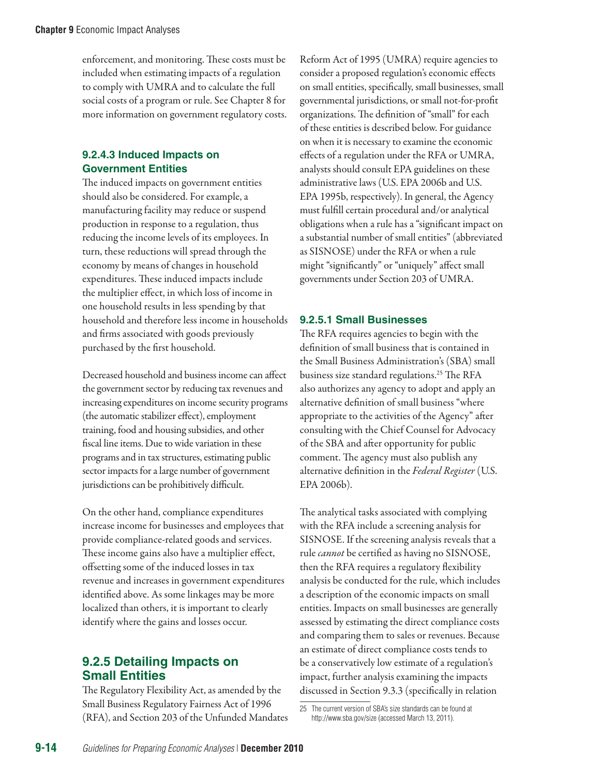enforcement, and monitoring. These costs must be included when estimating impacts of a regulation to comply with UMRA and to calculate the full social costs of a program or rule. See Chapter 8 for more information on government regulatory costs.

#### **9.2.4.3 Induced Impacts on Government Entities**

The induced impacts on government entities should also be considered. For example, a manufacturing facility may reduce or suspend production in response to a regulation, thus reducing the income levels of its employees. In turn, these reductions will spread through the economy by means of changes in household expenditures. These induced impacts include the multiplier effect, in which loss of income in one household results in less spending by that household and therefore less income in households and firms associated with goods previously purchased by the first household.

Decreased household and business income can affect the government sector by reducing tax revenues and increasing expenditures on income security programs (the automatic stabilizer effect), employment training, food and housing subsidies, and other fiscal line items. Due to wide variation in these programs and in tax structures, estimating public sector impacts for a large number of government jurisdictions can be prohibitively difficult.

On the other hand, compliance expenditures increase income for businesses and employees that provide compliance-related goods and services. These income gains also have a multiplier effect, offsetting some of the induced losses in tax revenue and increases in government expenditures identified above. As some linkages may be more localized than others, it is important to clearly identify where the gains and losses occur.

## **9.2.5 Detailing Impacts on Small Entities**

The Regulatory Flexibility Act, as amended by the Small Business Regulatory Fairness Act of 1996 (RFA), and Section 203 of the Unfunded Mandates Reform Act of 1995 (UMRA) require agencies to consider a proposed regulation's economic effects on small entities, specifically, small businesses, small governmental jurisdictions, or small not-for-profit organizations. The definition of "small" for each of these entities is described below. For guidance on when it is necessary to examine the economic effects of a regulation under the RFA or UMRA, analysts should consult EPA guidelines on these administrative laws (U.S. EPA 2006b and U.S. EPA 1995b, respectively). In general, the Agency must fulfill certain procedural and/or analytical obligations when a rule has a "significant impact on a substantial number of small entities" (abbreviated as SISNOSE) under the RFA or when a rule might "significantly" or "uniquely" affect small governments under Section 203 of UMRA.

#### **9.2.5.1 Small Businesses**

The RFA requires agencies to begin with the definition of small business that is contained in the Small Business Administration's (SBA) small business size standard regulations.<sup>25</sup> The RFA also authorizes any agency to adopt and apply an alternative definition of small business "where appropriate to the activities of the Agency" after consulting with the Chief Counsel for Advocacy of the SBA and after opportunity for public comment. The agency must also publish any alternative definition in the *Federal Register* (U.S. EPA 2006b).

The analytical tasks associated with complying with the RFA include a screening analysis for SISNOSE. If the screening analysis reveals that a rule *cannot* be certified as having no SISNOSE, then the RFA requires a regulatory flexibility analysis be conducted for the rule, which includes a description of the economic impacts on small entities. Impacts on small businesses are generally assessed by estimating the direct compliance costs and comparing them to sales or revenues. Because an estimate of direct compliance costs tends to be a conservatively low estimate of a regulation's impact, further analysis examining the impacts discussed in Section 9.3.3 (specifically in relation

<sup>25</sup> The current version of SBA's size standards can be found at http://www.sba.gov/size (accessed March 13, 2011).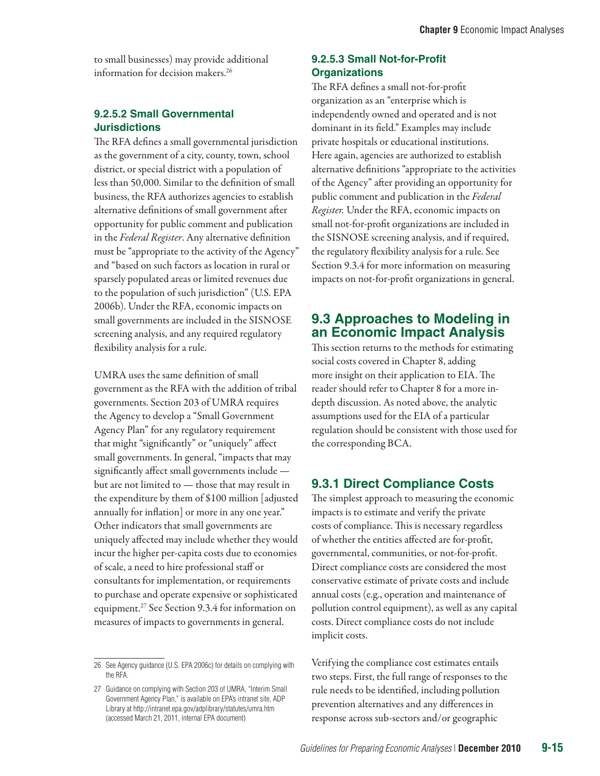to small businesses) may provide additional information for decision makers.<sup>26</sup>

#### **9.2.5.2 Small Governmental Jurisdictions**

The RFA defines a small governmental jurisdiction as the government of a city, county, town, school district, or special district with a population of less than 50,000. Similar to the definition of small business, the RFA authorizes agencies to establish alternative definitions of small government after opportunity for public comment and publication in the *Federal Register*. Any alternative definition must be "appropriate to the activity of the Agency" and "based on such factors as location in rural or sparsely populated areas or limited revenues due to the population of such jurisdiction" (U.S. EPA 2006b). Under the RFA, economic impacts on small governments are included in the SISNOSE screening analysis, and any required regulatory flexibility analysis for a rule.

UMRA uses the same definition of small government as the RFA with the addition of tribal governments. Section 203 of UMRA requires the Agency to develop a "Small Government Agency Plan" for any regulatory requirement that might "significantly" or "uniquely" affect small governments. In general, "impacts that may significantly affect small governments include but are not limited to — those that may result in the expenditure by them of \$100 million [adjusted annually for inflation] or more in any one year." Other indicators that small governments are uniquely affected may include whether they would incur the higher per-capita costs due to economies of scale, a need to hire professional staff or consultants for implementation, or requirements to purchase and operate expensive or sophisticated equipment.27 See Section 9.3.4 for information on measures of impacts to governments in general.

#### **9.2.5.3 Small Not-for-Profit Organizations**

The RFA defines a small not-for-profit organization as an "enterprise which is independently owned and operated and is not dominant in its field." Examples may include private hospitals or educational institutions. Here again, agencies are authorized to establish alternative definitions "appropriate to the activities of the Agency" after providing an opportunity for public comment and publication in the *Federal Register.* Under the RFA, economic impacts on small not-for-profit organizations are included in the SISNOSE screening analysis, and if required, the regulatory flexibility analysis for a rule. See Section 9.3.4 for more information on measuring impacts on not-for-profit organizations in general.

## **9.3 Approaches to Modeling in an Economic Impact Analysis**

This section returns to the methods for estimating social costs covered in Chapter 8, adding more insight on their application to EIA. The reader should refer to Chapter 8 for a more indepth discussion. As noted above, the analytic assumptions used for the EIA of a particular regulation should be consistent with those used for the corresponding BCA.

# **9.3.1 Direct Compliance Costs**

The simplest approach to measuring the economic impacts is to estimate and verify the private costs of compliance. This is necessary regardless of whether the entities affected are for-profit, governmental, communities, or not-for-profit. Direct compliance costs are considered the most conservative estimate of private costs and include annual costs (e.g., operation and maintenance of pollution control equipment), as well as any capital costs. Direct compliance costs do not include implicit costs.

Verifying the compliance cost estimates entails two steps. First, the full range of responses to the rule needs to be identified, including pollution prevention alternatives and any differences in response across sub-sectors and/or geographic

<sup>26</sup> See Agency guidance (U.S. EPA 2006c) for details on complying with the RFA.

<sup>27</sup> Guidance on complying with Section 203 of UMRA, "Interim Small Government Agency Plan," is available on EPA's intranet site, ADP Library at http://intranet.epa.gov/adplibrary/statutes/umra.htm (accessed March 21, 2011, internal EPA document)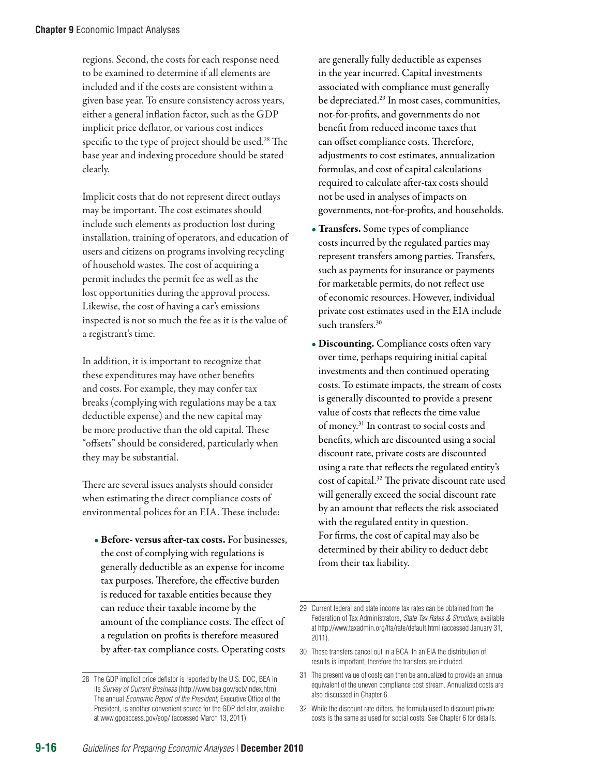regions. Second, the costs for each response need to be examined to determine if all elements are included and if the costs are consistent within a given base year. To ensure consistency across years, either a general inflation factor, such as the GDP implicit price deflator, or various cost indices specific to the type of project should be used.<sup>28</sup> The base year and indexing procedure should be stated clearly.

Implicit costs that do not represent direct outlays may be important. The cost estimates should include such elements as production lost during installation, training of operators, and education of users and citizens on programs involving recycling of household wastes. The cost of acquiring a permit includes the permit fee as well as the lost opportunities during the approval process. Likewise, the cost of having a car's emissions inspected is not so much the fee as it is the value of a registrant's time.

In addition, it is important to recognize that these expenditures may have other benefits and costs. For example, they may confer tax breaks (complying with regulations may be a tax deductible expense) and the new capital may be more productive than the old capital. These "offsets" should be considered, particularly when they may be substantial.

There are several issues analysts should consider when estimating the direct compliance costs of environmental polices for an EIA. These include:

• Before- versus after-tax costs. For businesses, the cost of complying with regulations is generally deductible as an expense for income tax purposes. Therefore, the effective burden is reduced for taxable entities because they can reduce their taxable income by the amount of the compliance costs. The effect of a regulation on profits is therefore measured by after-tax compliance costs. Operating costs

are generally fully deductible as expenses in the year incurred. Capital investments associated with compliance must generally be depreciated.29 In most cases, communities, not-for-profits, and governments do not benefit from reduced income taxes that can offset compliance costs. Therefore, adjustments to cost estimates, annualization formulas, and cost of capital calculations required to calculate after-tax costs should not be used in analyses of impacts on governments, not-for-profits, and households.

- Transfers. Some types of compliance costs incurred by the regulated parties may represent transfers among parties. Transfers, such as payments for insurance or payments for marketable permits, do not reflect use of economic resources. However, individual private cost estimates used in the EIA include such transfers.<sup>30</sup>
- Discounting. Compliance costs often vary over time, perhaps requiring initial capital investments and then continued operating costs. To estimate impacts, the stream of costs is generally discounted to provide a present value of costs that reflects the time value of money.31 In contrast to social costs and benefits, which are discounted using a social discount rate, private costs are discounted using a rate that reflects the regulated entity's cost of capital.32 The private discount rate used will generally exceed the social discount rate by an amount that reflects the risk associated with the regulated entity in question. For firms, the cost of capital may also be determined by their ability to deduct debt from their tax liability.

30 These transfers cancel out in a BCA. In an EIA the distribution of results is important, therefore the transfers are included.

32 While the discount rate differs, the formula used to discount private costs is the same as used for social costs. See Chapter 6 for details.

<sup>28</sup> The GDP implicit price deflator is reported by the U.S. DOC, BEA in its *Survey of Current Business* (http://www.bea.gov/scb/index.htm). The annual *Economic Report of the President*, Executive Office of the President, is another convenient source for the GDP deflator, available at www.gpoaccess.gov/eop/ (accessed March 13, 2011).

<sup>29</sup> Current federal and state income tax rates can be obtained from the Federation of Tax Administrators, *State Tax Rates & Structure*, available at http://www.taxadmin.org/fta/rate/default.html (accessed January 31, 2011).

<sup>31</sup> The present value of costs can then be annualized to provide an annual equivalent of the uneven compliance cost stream. Annualized costs are also discussed in Chapter 6.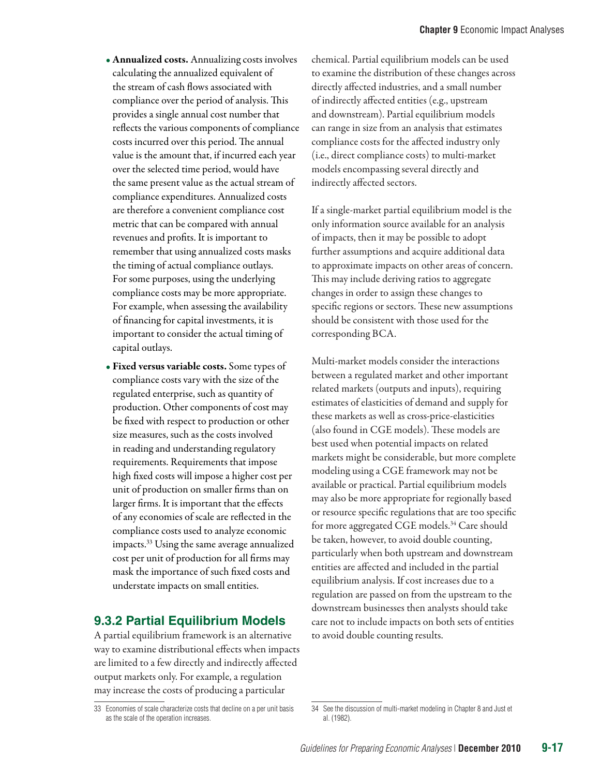- Annualized costs. Annualizing costs involves calculating the annualized equivalent of the stream of cash flows associated with compliance over the period of analysis. This provides a single annual cost number that reflects the various components of compliance costs incurred over this period. The annual value is the amount that, if incurred each year over the selected time period, would have the same present value as the actual stream of compliance expenditures. Annualized costs are therefore a convenient compliance cost metric that can be compared with annual revenues and profits. It is important to remember that using annualized costs masks the timing of actual compliance outlays. For some purposes, using the underlying compliance costs may be more appropriate. For example, when assessing the availability of financing for capital investments, it is important to consider the actual timing of capital outlays.
- Fixed versus variable costs. Some types of compliance costs vary with the size of the regulated enterprise, such as quantity of production. Other components of cost may be fixed with respect to production or other size measures, such as the costs involved in reading and understanding regulatory requirements. Requirements that impose high fixed costs will impose a higher cost per unit of production on smaller firms than on larger firms. It is important that the effects of any economies of scale are reflected in the compliance costs used to analyze economic impacts.33 Using the same average annualized cost per unit of production for all firms may mask the importance of such fixed costs and understate impacts on small entities.

#### **9.3.2 Partial Equilibrium Models**

A partial equilibrium framework is an alternative way to examine distributional effects when impacts are limited to a few directly and indirectly affected output markets only. For example, a regulation may increase the costs of producing a particular

chemical. Partial equilibrium models can be used to examine the distribution of these changes across directly affected industries, and a small number of indirectly affected entities (e.g., upstream and downstream). Partial equilibrium models can range in size from an analysis that estimates compliance costs for the affected industry only (i.e., direct compliance costs) to multi-market models encompassing several directly and indirectly affected sectors.

If a single-market partial equilibrium model is the only information source available for an analysis of impacts, then it may be possible to adopt further assumptions and acquire additional data to approximate impacts on other areas of concern. This may include deriving ratios to aggregate changes in order to assign these changes to specific regions or sectors. These new assumptions should be consistent with those used for the corresponding BCA.

Multi-market models consider the interactions between a regulated market and other important related markets (outputs and inputs), requiring estimates of elasticities of demand and supply for these markets as well as cross-price-elasticities (also found in CGE models). These models are best used when potential impacts on related markets might be considerable, but more complete modeling using a CGE framework may not be available or practical. Partial equilibrium models may also be more appropriate for regionally based or resource specific regulations that are too specific for more aggregated CGE models.<sup>34</sup> Care should be taken, however, to avoid double counting, particularly when both upstream and downstream entities are affected and included in the partial equilibrium analysis. If cost increases due to a regulation are passed on from the upstream to the downstream businesses then analysts should take care not to include impacts on both sets of entities to avoid double counting results.

<sup>33</sup> Economies of scale characterize costs that decline on a per unit basis as the scale of the operation increases.

<sup>34</sup> See the discussion of multi-market modeling in Chapter 8 and Just et al. (1982).